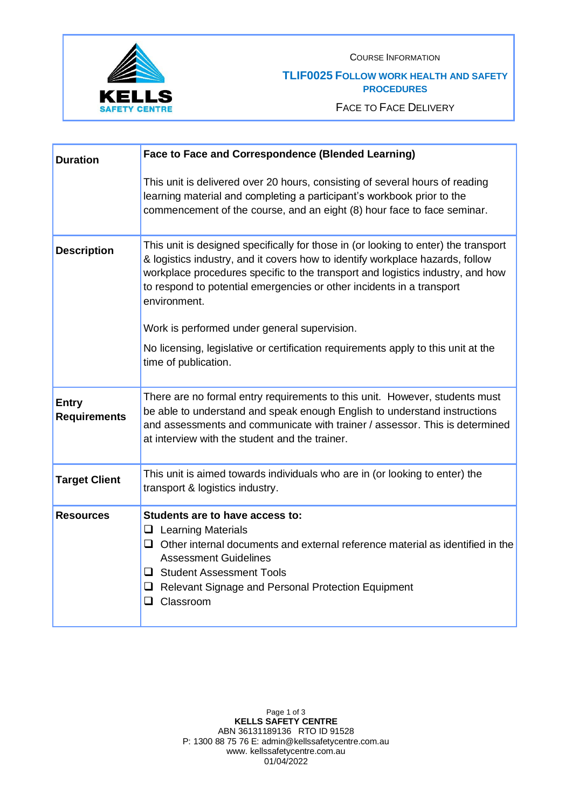

COURSE INFORMATION

## **TLIF0025 FOLLOW WORK HEALTH AND SAFETY PROCEDURES**

FACE TO FACE DELIVERY

| <b>Duration</b>                     | Face to Face and Correspondence (Blended Learning)                                                                                                                                                                                                                                                                                              |
|-------------------------------------|-------------------------------------------------------------------------------------------------------------------------------------------------------------------------------------------------------------------------------------------------------------------------------------------------------------------------------------------------|
|                                     | This unit is delivered over 20 hours, consisting of several hours of reading<br>learning material and completing a participant's workbook prior to the<br>commencement of the course, and an eight (8) hour face to face seminar.                                                                                                               |
| <b>Description</b>                  | This unit is designed specifically for those in (or looking to enter) the transport<br>& logistics industry, and it covers how to identify workplace hazards, follow<br>workplace procedures specific to the transport and logistics industry, and how<br>to respond to potential emergencies or other incidents in a transport<br>environment. |
|                                     | Work is performed under general supervision.                                                                                                                                                                                                                                                                                                    |
|                                     | No licensing, legislative or certification requirements apply to this unit at the<br>time of publication.                                                                                                                                                                                                                                       |
| <b>Entry</b><br><b>Requirements</b> | There are no formal entry requirements to this unit. However, students must<br>be able to understand and speak enough English to understand instructions<br>and assessments and communicate with trainer / assessor. This is determined<br>at interview with the student and the trainer.                                                       |
| <b>Target Client</b>                | This unit is aimed towards individuals who are in (or looking to enter) the<br>transport & logistics industry.                                                                                                                                                                                                                                  |
| <b>Resources</b>                    | Students are to have access to:<br>$\Box$ Learning Materials<br>$\Box$ Other internal documents and external reference material as identified in the<br><b>Assessment Guidelines</b><br>□ Student Assessment Tools<br>Relevant Signage and Personal Protection Equipment<br>Classroom<br>ப                                                      |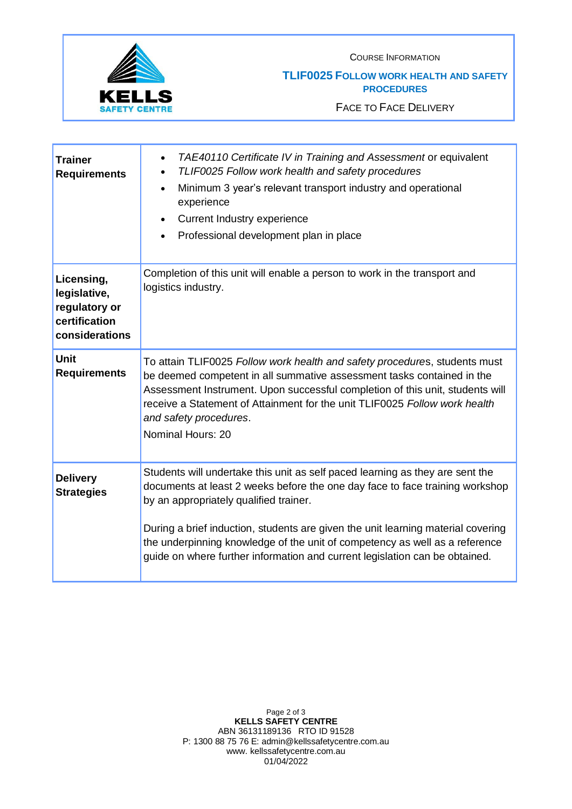

COURSE INFORMATION

## **TLIF0025 FOLLOW WORK HEALTH AND SAFETY PROCEDURES**

FACE TO FACE DELIVERY

| <b>Trainer</b><br><b>Requirements</b>                                          | TAE40110 Certificate IV in Training and Assessment or equivalent<br>$\bullet$<br>TLIF0025 Follow work health and safety procedures<br>Minimum 3 year's relevant transport industry and operational<br>$\bullet$<br>experience<br><b>Current Industry experience</b><br>Professional development plan in place                                                      |
|--------------------------------------------------------------------------------|--------------------------------------------------------------------------------------------------------------------------------------------------------------------------------------------------------------------------------------------------------------------------------------------------------------------------------------------------------------------|
| Licensing,<br>legislative,<br>regulatory or<br>certification<br>considerations | Completion of this unit will enable a person to work in the transport and<br>logistics industry.                                                                                                                                                                                                                                                                   |
| <b>Unit</b><br><b>Requirements</b>                                             | To attain TLIF0025 Follow work health and safety procedures, students must<br>be deemed competent in all summative assessment tasks contained in the<br>Assessment Instrument. Upon successful completion of this unit, students will<br>receive a Statement of Attainment for the unit TLIF0025 Follow work health<br>and safety procedures.<br>Nominal Hours: 20 |
| <b>Delivery</b><br><b>Strategies</b>                                           | Students will undertake this unit as self paced learning as they are sent the<br>documents at least 2 weeks before the one day face to face training workshop<br>by an appropriately qualified trainer.                                                                                                                                                            |
|                                                                                | During a brief induction, students are given the unit learning material covering<br>the underpinning knowledge of the unit of competency as well as a reference<br>guide on where further information and current legislation can be obtained.                                                                                                                     |